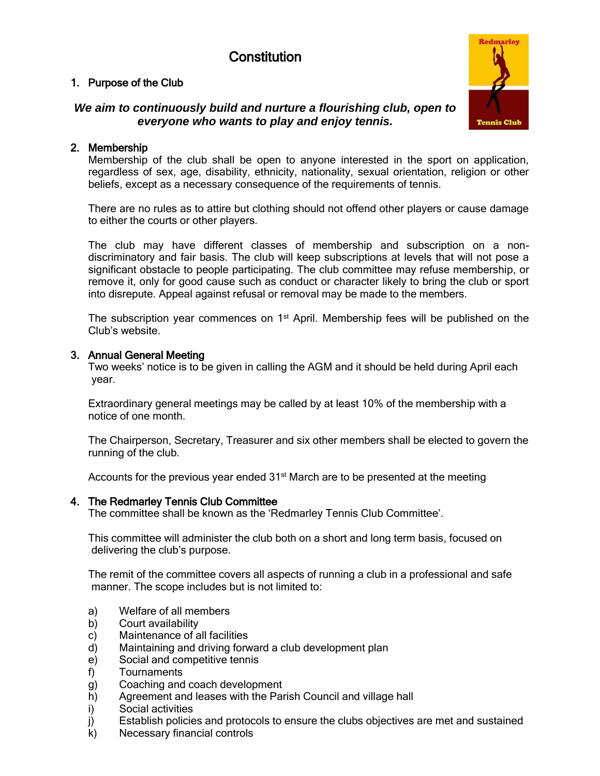# **Constitution**

## 1. Purpose of the Club

# *We aim to continuously build and nurture a flourishing club, open to everyone who wants to play and enjoy tennis.*

# 2. Membership

Membership of the club shall be open to anyone interested in the sport on application, regardless of sex, age, disability, ethnicity, nationality, sexual orientation, religion or other beliefs, except as a necessary consequence of the requirements of tennis.

There are no rules as to attire but clothing should not offend other players or cause damage to either the courts or other players.

The club may have different classes of membership and subscription on a nondiscriminatory and fair basis. The club will keep subscriptions at levels that will not pose a significant obstacle to people participating. The club committee may refuse membership, or remove it, only for good cause such as conduct or character likely to bring the club or sport into disrepute. Appeal against refusal or removal may be made to the members.

The subscription year commences on  $1<sup>st</sup>$  April. Membership fees will be published on the Club's website.

## 3. Annual General Meeting

Two weeks' notice is to be given in calling the AGM and it should be held during April each year.

Extraordinary general meetings may be called by at least 10% of the membership with a notice of one month.

The Chairperson, Secretary, Treasurer and six other members shall be elected to govern the running of the club.

Accounts for the previous year ended  $31<sup>st</sup>$  March are to be presented at the meeting

## 4. The Redmarley Tennis Club Committee

The committee shall be known as the 'Redmarley Tennis Club Committee'.

This committee will administer the club both on a short and long term basis, focused on delivering the club's purpose.

The remit of the committee covers all aspects of running a club in a professional and safe manner. The scope includes but is not limited to:

- a) Welfare of all members
- b) Court availability
- c) Maintenance of all facilities
- d) Maintaining and driving forward a club development plan
- e) Social and competitive tennis
- f) Tournaments
- g) Coaching and coach development
- h) Agreement and leases with the Parish Council and village hall
- i) Social activities
- j) Establish policies and protocols to ensure the clubs objectives are met and sustained
- k) Necessary financial controls